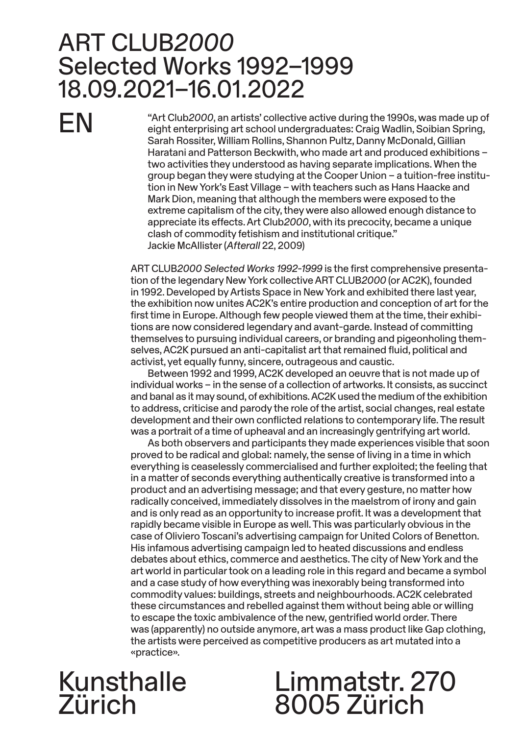## ART CLUB*2000* Selected Works 1992–1999 18.09.2021–16.01.2022

EN

"Art Club*2000*, an artists' collective active during the 1990s, was made up of eight enterprising art school undergraduates: Craig Wadlin, Soibian Spring, Sarah Rossiter, William Rollins, Shannon Pultz, Danny McDonald, Gillian Haratani and Patterson Beckwith, who made art and produced exhibitions – two activities they understood as having separate implications. When the group began they were studying at the Cooper Union – a tuition-free institution in New York's East Village – with teachers such as Hans Haacke and Mark Dion, meaning that although the members were exposed to the extreme capitalism of the city, they were also allowed enough distance to appreciate its effects. Art Club*2000*, with its precocity, became a unique clash of commodity fetishism and institutional critique." Jackie McAllister (*Afterall* 22, 2009)

ART CLUB*2000 Selected Works 1992-1999* is the first comprehensive presentation of the legendary New York collective ART CLUB*2000* (or AC2K), founded in 1992. Developed by Artists Space in New York and exhibited there last year, the exhibition now unites AC2K's entire production and conception of art for the first time in Europe. Although few people viewed them at the time, their exhibitions are now considered legendary and avant-garde. Instead of committing themselves to pursuing individual careers, or branding and pigeonholing themselves, AC2K pursued an anti-capitalist art that remained fluid, political and activist, yet equally funny, sincere, outrageous and caustic.

Between 1992 and 1999, AC2K developed an oeuvre that is not made up of individual works – in the sense of a collection of artworks. It consists, as succinct and banal as it may sound, of exhibitions. AC2K used the medium of the exhibition to address, criticise and parody the role of the artist, social changes, real estate development and their own conflicted relations to contemporary life. The result was a portrait of a time of upheaval and an increasingly gentrifying art world.

As both observers and participants they made experiences visible that soon proved to be radical and global: namely, the sense of living in a time in which everything is ceaselessly commercialised and further exploited; the feeling that in a matter of seconds everything authentically creative is transformed into a product and an advertising message; and that every gesture, no matter how radically conceived, immediately dissolves in the maelstrom of irony and gain and is only read as an opportunity to increase profit. It was a development that rapidly became visible in Europe as well. This was particularly obvious in the case of Oliviero Toscani's advertising campaign for United Colors of Benetton. His infamous advertising campaign led to heated discussions and endless debates about ethics, commerce and aesthetics. The city of New York and the art world in particular took on a leading role in this regard and became a symbol and a case study of how everything was inexorably being transformed into commodity values: buildings, streets and neighbourhoods. AC2K celebrated these circumstances and rebelled against them without being able or willing to escape the toxic ambivalence of the new, gentrified world order. There was (apparently) no outside anymore, art was a mass product like Gap clothing, the artists were perceived as competitive producers as art mutated into a «practice».

## Kunsthalle Zürich

# Limmatstr. 270 8005 Zürich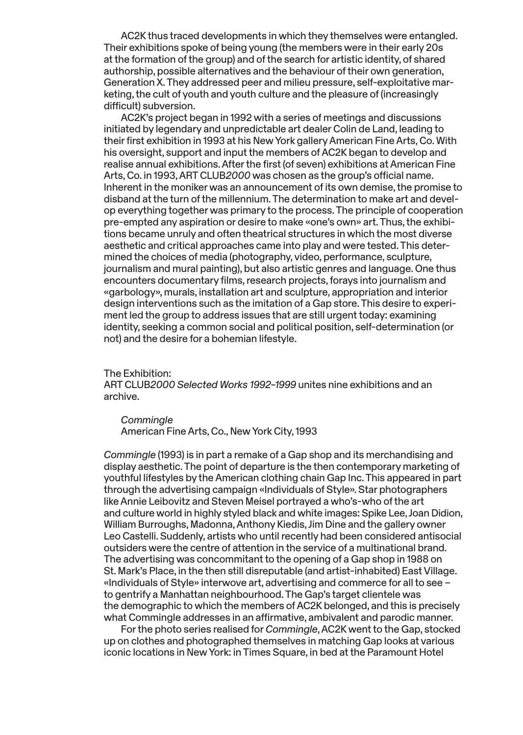AC2K thus traced developments in which they themselves were entangled. Their exhibitions spoke of being young (the members were in their early 20s at the formation of the group) and of the search for artistic identity, of shared authorship, possible alternatives and the behaviour of their own generation, Generation X. They addressed peer and milieu pressure, self-exploitative marketing, the cult of youth and youth culture and the pleasure of (increasingly difficult) subversion.

AC2K's project began in 1992 with a series of meetings and discussions initiated by legendary and unpredictable art dealer Colin de Land, leading to their first exhibition in 1993 at his New York gallery American Fine Arts, Co. With his oversight, support and input the members of AC2K began to develop and realise annual exhibitions. After the first (of seven) exhibitions at American Fine Arts, Co. in 1993, ART CLUB*2000* was chosen as the group's official name. Inherent in the moniker was an announcement of its own demise, the promise to disband at the turn of the millennium. The determination to make art and develop everything together was primary to the process. The principle of cooperation pre-empted any aspiration or desire to make «one's own» art. Thus, the exhibitions became unruly and often theatrical structures in which the most diverse aesthetic and critical approaches came into play and were tested. This determined the choices of media (photography, video, performance, sculpture, journalism and mural painting), but also artistic genres and language. One thus encounters documentary films, research projects, forays into journalism and «garbology», murals, installation art and sculpture, appropriation and interior design interventions such as the imitation of a Gap store. This desire to experiment led the group to address issues that are still urgent today: examining identity, seeking a common social and political position, self-determination (or not) and the desire for a bohemian lifestyle.

The Exhibition:

ART CLUB*2000 Selected Works 1992–1999* unites nine exhibitions and an archive.

*Commingle*  American Fine Arts, Co., New York City, 1993

*Commingle* (1993) is in part a remake of a Gap shop and its merchandising and display aesthetic. The point of departure is the then contemporary marketing of youthful lifestyles by the American clothing chain Gap Inc. This appeared in part through the advertising campaign «Individuals of Style». Star photographers like Annie Leibovitz and Steven Meisel portrayed a who's-who of the art and culture world in highly styled black and white images: Spike Lee, Joan Didion, William Burroughs, Madonna, Anthony Kiedis, Jim Dine and the gallery owner Leo Castelli. Suddenly, artists who until recently had been considered antisocial outsiders were the centre of attention in the service of a multinational brand. The advertising was concommitant to the opening of a Gap shop in 1988 on St. Mark's Place, in the then still disreputable (and artist-inhabited) East Village. «Individuals of Style» interwove art, advertising and commerce for all to see – to gentrify a Manhattan neighbourhood. The Gap's target clientele was the demographic to which the members of AC2K belonged, and this is precisely what Commingle addresses in an affirmative, ambivalent and parodic manner.

For the photo series realised for *Commingle*, AC2K went to the Gap, stocked up on clothes and photographed themselves in matching Gap looks at various iconic locations in New York: in Times Square, in bed at the Paramount Hotel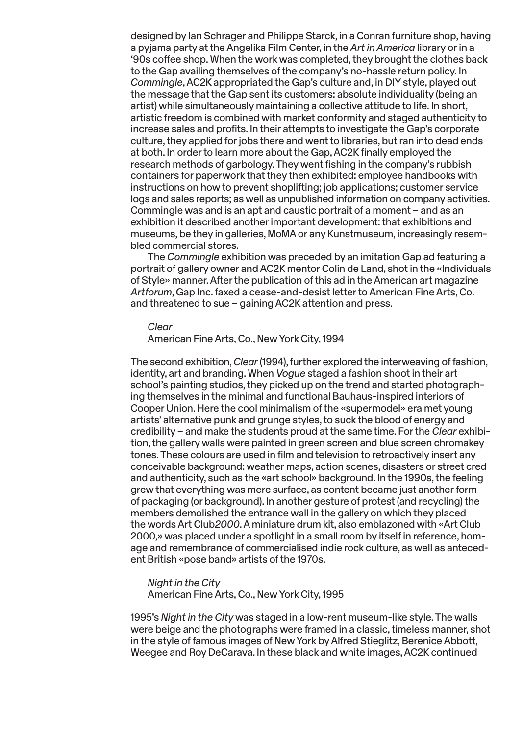designed by Ian Schrager and Philippe Starck, in a Conran furniture shop, having a pyjama party at the Angelika Film Center, in the *Art in America* library or in a '90s coffee shop. When the work was completed, they brought the clothes back to the Gap availing themselves of the company's no-hassle return policy. In *Commingle*, AC2K appropriated the Gap's culture and, in DIY style, played out the message that the Gap sent its customers: absolute individuality (being an artist) while simultaneously maintaining a collective attitude to life. In short, artistic freedom is combined with market conformity and staged authenticity to increase sales and profits. In their attempts to investigate the Gap's corporate culture, they applied for jobs there and went to libraries, but ran into dead ends at both. In order to learn more about the Gap, AC2K finally employed the research methods of garbology. They went fishing in the company's rubbish containers for paperwork that they then exhibited: employee handbooks with instructions on how to prevent shoplifting; job applications; customer service logs and sales reports; as well as unpublished information on company activities. Commingle was and is an apt and caustic portrait of a moment – and as an exhibition it described another important development: that exhibitions and museums, be they in galleries, MoMA or any Kunstmuseum, increasingly resembled commercial stores.

The *Commingle* exhibition was preceded by an imitation Gap ad featuring a portrait of gallery owner and AC2K mentor Colin de Land, shot in the «Individuals of Style» manner. After the publication of this ad in the American art magazine *Artforum*, Gap Inc. faxed a cease-and-desist letter to American Fine Arts, Co. and threatened to sue – gaining AC2K attention and press.

#### *Clear*

American Fine Arts, Co., New York City, 1994

The second exhibition, *Clear* (1994), further explored the interweaving of fashion, identity, art and branding. When *Vogue* staged a fashion shoot in their art school's painting studios, they picked up on the trend and started photographing themselves in the minimal and functional Bauhaus-inspired interiors of Cooper Union. Here the cool minimalism of the «supermodel» era met young artists' alternative punk and grunge styles, to suck the blood of energy and credibility – and make the students proud at the same time. For the *Clear* exhibition, the gallery walls were painted in green screen and blue screen chromakey tones. These colours are used in film and television to retroactively insert any conceivable background: weather maps, action scenes, disasters or street cred and authenticity, such as the «art school» background. In the 1990s, the feeling grew that everything was mere surface, as content became just another form of packaging (or background). In another gesture of protest (and recycling) the members demolished the entrance wall in the gallery on which they placed the words Art Club*2000*. A miniature drum kit, also emblazoned with «Art Club 2000,» was placed under a spotlight in a small room by itself in reference, homage and remembrance of commercialised indie rock culture, as well as antecedent British «pose band» artists of the 1970s.

## *Night in the City*

American Fine Arts, Co., New York City, 1995

1995's *Night in the City* was staged in a low-rent museum-like style. The walls were beige and the photographs were framed in a classic, timeless manner, shot in the style of famous images of New York by Alfred Stieglitz, Berenice Abbott, Weegee and Roy DeCarava. In these black and white images, AC2K continued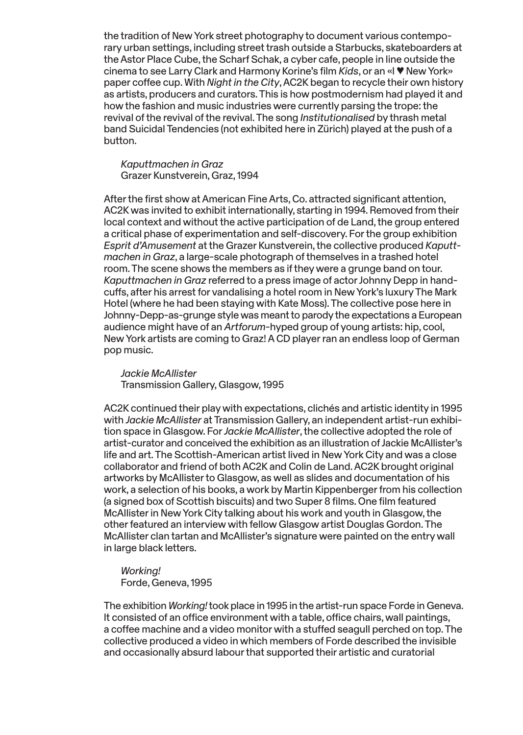the tradition of New York street photography to document various contemporary urban settings, including street trash outside a Starbucks, skateboarders at the Astor Place Cube, the Scharf Schak, a cyber cafe, people in line outside the cinema to see Larry Clark and Harmony Korine's film *Kids*, or an «I ♥ New York» paper coffee cup. With *Night in the City*, AC2K began to recycle their own history as artists, producers and curators. This is how postmodernism had played it and how the fashion and music industries were currently parsing the trope: the revival of the revival of the revival. The song *Institutionalised* by thrash metal band Suicidal Tendencies (not exhibited here in Zürich) played at the push of a button.

*Kaputtmachen in Graz*  Grazer Kunstverein, Graz, 1994

After the first show at American Fine Arts, Co. attracted significant attention, AC2K was invited to exhibit internationally, starting in 1994. Removed from their local context and without the active participation of de Land, the group entered a critical phase of experimentation and self-discovery. For the group exhibition *Esprit d'Amusement* at the Grazer Kunstverein, the collective produced *Kaputtmachen in Graz*, a large-scale photograph of themselves in a trashed hotel room. The scene shows the members as if they were a grunge band on tour. *Kaputtmachen in Graz* referred to a press image of actor Johnny Depp in handcuffs, after his arrest for vandalising a hotel room in New York's luxury The Mark Hotel (where he had been staying with Kate Moss). The collective pose here in Johnny-Depp-as-grunge style was meant to parody the expectations a European audience might have of an *Artforum*-hyped group of young artists: hip, cool, New York artists are coming to Graz! A CD player ran an endless loop of German pop music.

*Jackie McAllister*  Transmission Gallery, Glasgow, 1995

AC2K continued their play with expectations, clichés and artistic identity in 1995 with *Jackie McAllister* at Transmission Gallery, an independent artist-run exhibition space in Glasgow. For *Jackie McAllister*, the collective adopted the role of artist-curator and conceived the exhibition as an illustration of Jackie McAllister's life and art. The Scottish-American artist lived in New York City and was a close collaborator and friend of both AC2K and Colin de Land. AC2K brought original artworks by McAllister to Glasgow, as well as slides and documentation of his work, a selection of his books, a work by Martin Kippenberger from his collection (a signed box of Scottish biscuits) and two Super 8 films. One film featured McAllister in New York City talking about his work and youth in Glasgow, the other featured an interview with fellow Glasgow artist Douglas Gordon. The McAllister clan tartan and McAllister's signature were painted on the entry wall in large black letters.

*Working!*  Forde, Geneva, 1995

The exhibition *Working!* took place in 1995 in the artist-run space Forde in Geneva. It consisted of an office environment with a table, office chairs, wall paintings, a coffee machine and a video monitor with a stuffed seagull perched on top. The collective produced a video in which members of Forde described the invisible and occasionally absurd labour that supported their artistic and curatorial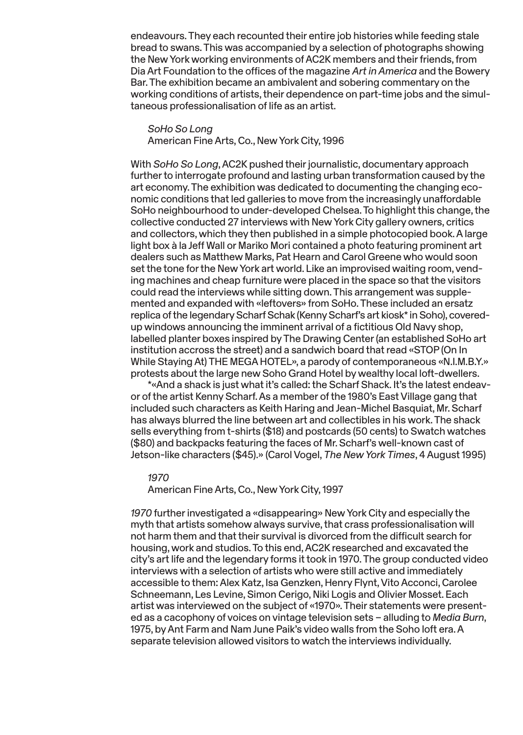endeavours. They each recounted their entire job histories while feeding stale bread to swans. This was accompanied by a selection of photographs showing the New York working environments of AC2K members and their friends, from Dia Art Foundation to the offices of the magazine *Art in America* and the Bowery Bar. The exhibition became an ambivalent and sobering commentary on the working conditions of artists, their dependence on part-time jobs and the simultaneous professionalisation of life as an artist.

*SoHo So Long*  American Fine Arts, Co., New York City, 1996

With *SoHo So Long*, AC2K pushed their journalistic, documentary approach further to interrogate profound and lasting urban transformation caused by the art economy. The exhibition was dedicated to documenting the changing economic conditions that led galleries to move from the increasingly unaffordable SoHo neighbourhood to under-developed Chelsea. To highlight this change, the collective conducted 27 interviews with New York City gallery owners, critics and collectors, which they then published in a simple photocopied book. A large light box à la Jeff Wall or Mariko Mori contained a photo featuring prominent art dealers such as Matthew Marks, Pat Hearn and Carol Greene who would soon set the tone for the New York art world. Like an improvised waiting room, vending machines and cheap furniture were placed in the space so that the visitors could read the interviews while sitting down. This arrangement was supplemented and expanded with «leftovers» from SoHo. These included an ersatz replica of the legendary Scharf Schak (Kenny Scharf's art kiosk\* in Soho), coveredup windows announcing the imminent arrival of a fictitious Old Navy shop, labelled planter boxes inspired by The Drawing Center (an established SoHo art institution accross the street) and a sandwich board that read «STOP (On In While Staying At) THE MEGA HOTEL», a parody of contemporaneous «N.I.M.B.Y.» protests about the large new Soho Grand Hotel by wealthy local loft-dwellers.

\*«And a shack is just what it's called: the Scharf Shack. It's the latest endeavor of the artist Kenny Scharf. As a member of the 1980's East Village gang that included such characters as Keith Haring and Jean-Michel Basquiat, Mr. Scharf has always blurred the line between art and collectibles in his work. The shack sells everything from t-shirts (\$18) and postcards (50 cents) to Swatch watches (\$80) and backpacks featuring the faces of Mr. Scharf's well-known cast of Jetson-like characters (\$45).» (Carol Vogel, *The New York Times*, 4 August 1995)

#### *1970*

American Fine Arts, Co., New York City, 1997

*1970* further investigated a «disappearing» New York City and especially the myth that artists somehow always survive, that crass professionalisation will not harm them and that their survival is divorced from the difficult search for housing, work and studios. To this end, AC2K researched and excavated the city's art life and the legendary forms it took in 1970. The group conducted video interviews with a selection of artists who were still active and immediately accessible to them: Alex Katz, Isa Genzken, Henry Flynt, Vito Acconci, Carolee Schneemann, Les Levine, Simon Cerigo, Niki Logis and Olivier Mosset. Each artist was interviewed on the subject of «1970». Their statements were presented as a cacophony of voices on vintage television sets – alluding to *Media Burn*, 1975, by Ant Farm and Nam June Paik's video walls from the Soho loft era. A separate television allowed visitors to watch the interviews individually.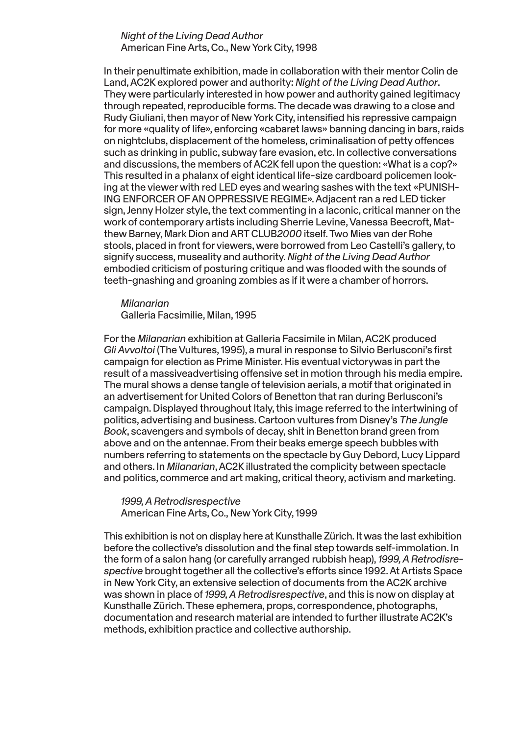### *Night of the Living Dead Author*  American Fine Arts, Co., New York City, 1998

In their penultimate exhibition, made in collaboration with their mentor Colin de Land, AC2K explored power and authority: *Night of the Living Dead Author*. They were particularly interested in how power and authority gained legitimacy through repeated, reproducible forms. The decade was drawing to a close and Rudy Giuliani, then mayor of New York City, intensified his repressive campaign for more «quality of life», enforcing «cabaret laws» banning dancing in bars, raids on nightclubs, displacement of the homeless, criminalisation of petty offences such as drinking in public, subway fare evasion, etc. In collective conversations and discussions, the members of AC2K fell upon the question: «What is a cop?» This resulted in a phalanx of eight identical life-size cardboard policemen looking at the viewer with red LED eyes and wearing sashes with the text «PUNISH-ING ENFORCER OF AN OPPRESSIVE REGIME». Adjacent ran a red LED ticker sign, Jenny Holzer style, the text commenting in a laconic, critical manner on the work of contemporary artists including Sherrie Levine, Vanessa Beecroft, Matthew Barney, Mark Dion and ART CLUB*2000* itself. Two Mies van der Rohe stools, placed in front for viewers, were borrowed from Leo Castelli's gallery, to signify success, museality and authority. *Night of the Living Dead Author* embodied criticism of posturing critique and was flooded with the sounds of teeth-gnashing and groaning zombies as if it were a chamber of horrors.

#### *Milanarian*

Galleria Facsimilie, Milan, 1995

For the *Milanarian* exhibition at Galleria Facsimile in Milan, AC2K produced *Gli Avvoltoi* (The Vultures, 1995), a mural in response to Silvio Berlusconi's first campaign for election as Prime Minister. His eventual victorywas in part the result of a massiveadvertising offensive set in motion through his media empire. The mural shows a dense tangle of television aerials, a motif that originated in an advertisement for United Colors of Benetton that ran during Berlusconi's campaign. Displayed throughout Italy, this image referred to the intertwining of politics, advertising and business. Cartoon vultures from Disney's *The Jungle Book*, scavengers and symbols of decay, shit in Benetton brand green from above and on the antennae. From their beaks emerge speech bubbles with numbers referring to statements on the spectacle by Guy Debord, Lucy Lippard and others. In *Milanarian*, AC2K illustrated the complicity between spectacle and politics, commerce and art making, critical theory, activism and marketing.

### *1999, A Retrodisrespective* American Fine Arts, Co., New York City, 1999

This exhibition is not on display here at Kunsthalle Zürich. It was the last exhibition before the collective's dissolution and the final step towards self-immolation. In the form of a salon hang (or carefully arranged rubbish heap), *1999, A Retrodisrespective* brought together all the collective's efforts since 1992. At Artists Space in New York City, an extensive selection of documents from the AC2K archive was shown in place of *1999, A Retrodisrespective*, and this is now on display at Kunsthalle Zürich. These ephemera, props, correspondence, photographs, documentation and research material are intended to further illustrate AC2K's methods, exhibition practice and collective authorship.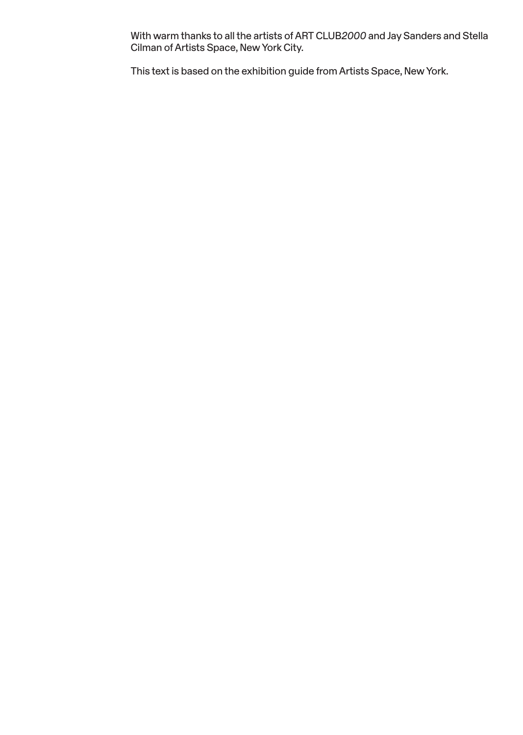With warm thanks to all the artists of ART CLUB*2000* and Jay Sanders and Stella Cilman of Artists Space, New York City.

This text is based on the exhibition guide from Artists Space, New York.